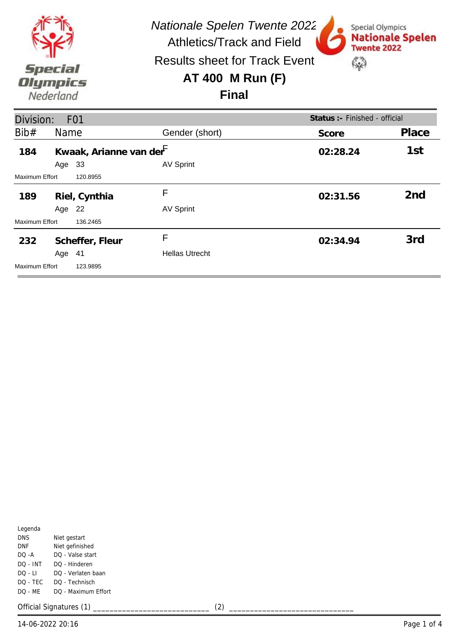

| Division:             |        | F <sub>0</sub> 1                    |                       | Status : - Finished - official |                 |
|-----------------------|--------|-------------------------------------|-----------------------|--------------------------------|-----------------|
| Bib#                  | Name   |                                     | Gender (short)        | Score                          | Place           |
| 184                   |        | Kwaak, Arianne van der <sup>F</sup> |                       | 02:28.24                       | 1st             |
|                       | Age    | 33                                  | <b>AV Sprint</b>      |                                |                 |
| <b>Maximum Effort</b> |        | 120.8955                            |                       |                                |                 |
| 189                   |        | Riel, Cynthia                       | F                     | 02:31.56                       | 2 <sub>nd</sub> |
|                       | Age 22 |                                     | <b>AV Sprint</b>      |                                |                 |
| Maximum Effort        |        | 136.2465                            |                       |                                |                 |
| 232                   |        | Scheffer, Fleur                     | F                     | 02:34.94                       | 3rd             |
|                       | Age 41 |                                     | <b>Hellas Utrecht</b> |                                |                 |
| <b>Maximum Effort</b> |        | 123.9895                            |                       |                                |                 |

| Legenda   |                     |
|-----------|---------------------|
| DNS.      | Niet gestart        |
| DNF       | Niet gefinished     |
| $DO - A$  | DO - Valse start    |
| DO - INT  | DO - Hinderen       |
| $DO - LI$ | DO - Verlaten baan  |
| DO - TEC  | DO - Technisch      |
| $DO - MF$ | DO - Maximum Effort |
|           |                     |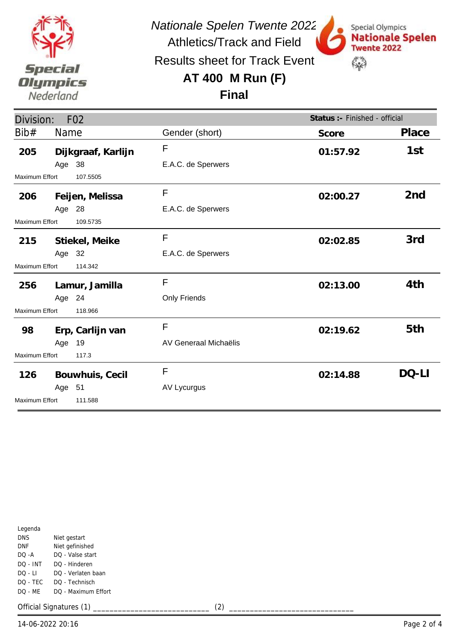

*Nationale Spelen Twente 2022* Athletics/Track and Field

Special Olympics

**Twente 2022** 

\$

**Nationale Spelen** 

Results sheet for Track Event

# **AT 400 M Run (F)**



| Division:             |        | F <sub>02</sub>    |                       | Status :- Finished - official |                 |
|-----------------------|--------|--------------------|-----------------------|-------------------------------|-----------------|
| Bib#                  | Name   |                    | Gender (short)        | Score                         | Place           |
| 205                   |        | Dijkgraaf, Karlijn | F                     | 01:57.92                      | 1st             |
|                       | Age 38 |                    | E.A.C. de Sperwers    |                               |                 |
| Maximum Effort        |        | 107.5505           |                       |                               |                 |
| 206                   |        | Feijen, Melissa    | F                     | 02:00.27                      | 2 <sub>nd</sub> |
|                       | Age 28 |                    | E.A.C. de Sperwers    |                               |                 |
| <b>Maximum Effort</b> |        | 109.5735           |                       |                               |                 |
| 215                   |        | Stiekel, Meike     | F                     | 02:02.85                      | 3rd             |
|                       | Age 32 |                    | E.A.C. de Sperwers    |                               |                 |
| Maximum Effort        |        | 114.342            |                       |                               |                 |
|                       |        | 256 Lamur, Jamilla | F                     | 02:13.00                      | 4th             |
|                       | Age 24 |                    | Only Friends          |                               |                 |
| <b>Maximum Effort</b> |        | 118.966            |                       |                               |                 |
| 98                    |        | Erp, Carlijn van   | F                     | 02:19.62                      | 5th             |
|                       | Age 19 |                    | AV Generaal Michaëlis |                               |                 |
| <b>Maximum Effort</b> |        | 117.3              |                       |                               |                 |
| 126                   |        | Bouwhuis, Cecil    | F                     | 02:14.88                      | DQ-LI           |
|                       | Age 51 |                    | <b>AV Lycurgus</b>    |                               |                 |
| <b>Maximum Effort</b> |        | 111.588            |                       |                               |                 |

| Legenda    |                     |
|------------|---------------------|
| <b>DNS</b> | Niet gestart        |
| DNF        | Niet gefinished     |
| DO -A      | DO - Valse start    |
| DO - INT   | DO - Hinderen       |
| DO - LI    | DO - Verlaten baan  |
| DO - TEC   | DO - Technisch      |
| DO - MF    | DO - Maximum Effort |
|            |                     |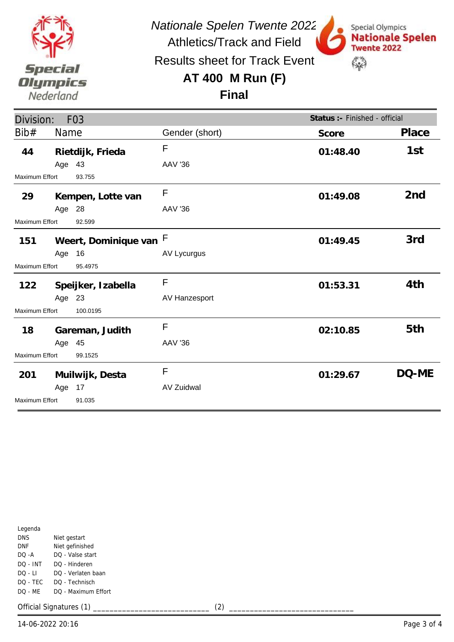

*Nationale Spelen Twente 2022* Athletics/Track and Field

Special Olympics

**Twente 2022** 

\$

**Nationale Spelen** 

Results sheet for Track Event

## **AT 400 M Run (F)**

### **Final**

| Division:<br>F <sub>03</sub> |        |                      |                   | Status :- Finished - official |                 |
|------------------------------|--------|----------------------|-------------------|-------------------------------|-----------------|
| Bib#                         | Name   |                      | Gender (short)    | Score                         | Place           |
| 44                           |        | Rietdijk, Frieda     | $\mathsf{F}$      | 01:48.40                      | 1st             |
|                              | Age 43 |                      | <b>AAV '36</b>    |                               |                 |
| <b>Maximum Effort</b>        |        | 93.755               |                   |                               |                 |
| 29                           |        | Kempen, Lotte van    | F                 | 01:49.08                      | 2 <sub>nd</sub> |
|                              | Age 28 |                      | <b>AAV '36</b>    |                               |                 |
| Maximum Effort               |        | 92.599               |                   |                               |                 |
| 151                          |        | Weert, Dominique van | F                 | 01:49.45                      | 3rd             |
|                              | Age 16 |                      | AV Lycurgus       |                               |                 |
| Maximum Effort               |        | 95.4975              |                   |                               |                 |
| 122                          |        | Speijker, Izabella   | F                 | 01:53.31                      | 4th             |
|                              | Age 23 |                      | AV Hanzesport     |                               |                 |
| Maximum Effort               |        | 100.0195             |                   |                               |                 |
| 18                           |        | Gareman, Judith      | F                 | 02:10.85                      | 5th             |
|                              | Age 45 |                      | <b>AAV '36</b>    |                               |                 |
| Maximum Effort<br>99.1525    |        |                      |                   |                               |                 |
| 201                          |        | Muilwijk, Desta      | F                 | 01:29.67                      | DQ-ME           |
|                              | Age    | 17                   | <b>AV Zuidwal</b> |                               |                 |
| <b>Maximum Effort</b>        |        | 91.035               |                   |                               |                 |

| Legenda    |                     |
|------------|---------------------|
| <b>DNS</b> | Niet gestart        |
| DNF        | Niet gefinished     |
| DO -A      | DO - Valse start    |
| DO - INT   | DO - Hinderen       |
| DO - LI    | DO - Verlaten baan  |
| DO - TEC   | DO - Technisch      |
| DO - MF    | DO - Maximum Effort |
|            |                     |